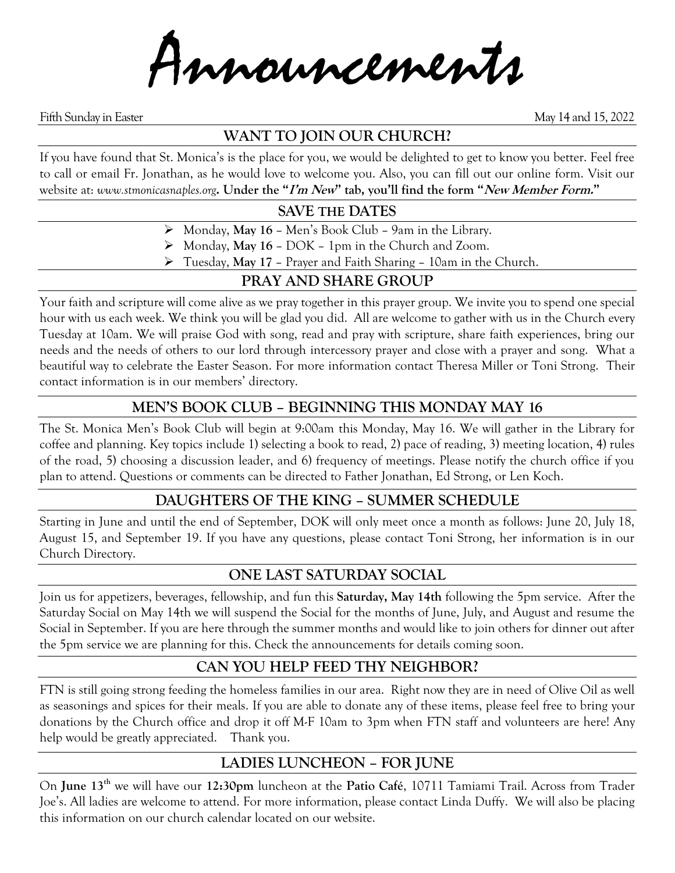Announcements

Fifth Sunday in Easter May 14 and 15, 2022

## **WANT TO JOIN OUR CHURCH?**

If you have found that St. Monica's is the place for you, we would be delighted to get to know you better. Feel free to call or email Fr. Jonathan, as he would love to welcome you. Also, you can fill out our online form. Visit our website at: *www.stmonicasnaples.org***. Under the "I'm New" tab, you'll find the form "New Member Form."**

## **SAVE THE DATES**

- ➢ Monday, **May 16** Men's Book Club 9am in the Library.
- ➢ Monday, **May 16** DOK 1pm in the Church and Zoom.
- ➢ Tuesday, **May 17** Prayer and Faith Sharing 10am in the Church.

## **PRAY AND SHARE GROUP**

Your faith and scripture will come alive as we pray together in this prayer group. We invite you to spend one special hour with us each week. We think you will be glad you did. All are welcome to gather with us in the Church every Tuesday at 10am. We will praise God with song, read and pray with scripture, share faith experiences, bring our needs and the needs of others to our lord through intercessory prayer and close with a prayer and song. What a beautiful way to celebrate the Easter Season. For more information contact Theresa Miller or Toni Strong. Their contact information is in our members' directory.

## **MEN'S BOOK CLUB – BEGINNING THIS MONDAY MAY 16**

The St. Monica Men's Book Club will begin at 9:00am this Monday, May 16. We will gather in the Library for coffee and planning. Key topics include 1) selecting a book to read, 2) pace of reading, 3) meeting location, 4) rules of the road, 5) choosing a discussion leader, and 6) frequency of meetings. Please notify the church office if you plan to attend. Questions or comments can be directed to Father Jonathan, Ed Strong, or Len Koch.

## **DAUGHTERS OF THE KING – SUMMER SCHEDULE**

Starting in June and until the end of September, DOK will only meet once a month as follows: June 20, July 18, August 15, and September 19. If you have any questions, please contact Toni Strong, her information is in our Church Directory.

## **ONE LAST SATURDAY SOCIAL**

Join us for appetizers, beverages, fellowship, and fun this **Saturday, May 14th** following the 5pm service. After the Saturday Social on May 14th we will suspend the Social for the months of June, July, and August and resume the Social in September. If you are here through the summer months and would like to join others for dinner out after the 5pm service we are planning for this. Check the announcements for details coming soon.

## **CAN YOU HELP FEED THY NEIGHBOR?**

FTN is still going strong feeding the homeless families in our area. Right now they are in need of Olive Oil as well as seasonings and spices for their meals. If you are able to donate any of these items, please feel free to bring your donations by the Church office and drop it off M-F 10am to 3pm when FTN staff and volunteers are here! Any help would be greatly appreciated. Thank you.

## **LADIES LUNCHEON – FOR JUNE**

On **June 13th** we will have our **12:30pm** luncheon at the **Patio Café**, 10711 Tamiami Trail. Across from Trader Joe's. All ladies are welcome to attend. For more information, please contact Linda Duffy. We will also be placing this information on our church calendar located on our website.